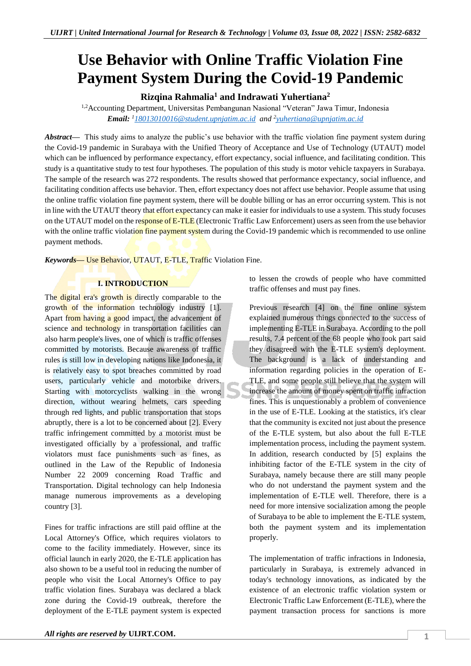# **Use Behavior with Online Traffic Violation Fine Payment System During the Covid-19 Pandemic**

**Rizqina Rahmalia<sup>1</sup> and Indrawati Yuhertiana<sup>2</sup>**

1,2Accounting Department, Universitas Pembangunan Nasional "Veteran" Jawa Timur, Indonesia *Email: <sup>1</sup>[18013010016@student.upnjatim.ac.id](mailto:18013010016@student.upnjatim.ac.id) and <sup>2</sup> [yuhertiana@upnjatim.ac.id](mailto:yuhertiana@upnjatim.ac.id)* 

*Abstract—* This study aims to analyze the public's use behavior with the traffic violation fine payment system during the Covid-19 pandemic in Surabaya with the Unified Theory of Acceptance and Use of Technology (UTAUT) model which can be influenced by performance expectancy, effort expectancy, social influence, and facilitating condition. This study is a quantitative study to test four hypotheses. The population of this study is motor vehicle taxpayers in Surabaya. The sample of the research was 272 respondents. The results showed that performance expectancy, social influence, and facilitating condition affects use behavior. Then, effort expectancy does not affect use behavior. People assume that using the online traffic violation fine payment system, there will be double billing or has an error occurring system. This is not in line with the UTAUT theory that effort expectancy can make it easier for individuals to use a system. This study focuses on the UTAUT model on the response of E-TLE (Electronic Traffic Law Enforcement) users as seen from the use behavior with the online traffic violation fine payment system during the Covid-19 pandemic which is recommended to use online payment methods.

*Keywords—* Use Behavior, UTAUT, E-TLE, Traffic Violation Fine.

# **I. INTRODUCTION**

The digital era's growth is directly comparable to the growth of the information technology industry [1]. Apart from having a good impact, the advancement of science and technology in transportation facilities can also harm people's lives, one of which is traffic offenses committed by motorists. Because awareness of traffic rules is still low in developing nations like Indonesia, it is relatively easy to spot breaches committed by road users, particularly vehicle and motorbike drivers. Starting with motorcyclists walking in the wrong direction, without wearing helmets, cars speeding through red lights, and public transportation that stops abruptly, there is a lot to be concerned about [2]. Every traffic infringement committed by a motorist must be investigated officially by a professional, and traffic violators must face punishments such as fines, as outlined in the Law of the Republic of Indonesia Number 22 2009 concerning Road Traffic and Transportation. Digital technology can help Indonesia manage numerous improvements as a developing country [3].

Fines for traffic infractions are still paid offline at the Local Attorney's Office, which requires violators to come to the facility immediately. However, since its official launch in early 2020, the E-TLE application has also shown to be a useful tool in reducing the number of people who visit the Local Attorney's Office to pay traffic violation fines. Surabaya was declared a black zone during the Covid-19 outbreak, therefore the deployment of the E-TLE payment system is expected

to lessen the crowds of people who have committed traffic offenses and must pay fines.

Previous research [4] on the fine online system explained numerous things connected to the success of implementing E-TLE in Surabaya. According to the poll results, 7.4 percent of the 68 people who took part said they disagreed with the E-TLE system's deployment. The background is a lack of understanding and information regarding policies in the operation of E-TLE, and some people still believe that the system will increase the amount of money spent on traffic infraction fines. This is unquestionably a problem of convenience in the use of E-TLE. Looking at the statistics, it's clear that the community is excited not just about the presence of the E-TLE system, but also about the full E-TLE implementation process, including the payment system. In addition, research conducted by [5] explains the inhibiting factor of the E-TLE system in the city of Surabaya, namely because there are still many people who do not understand the payment system and the implementation of E-TLE well. Therefore, there is a need for more intensive socialization among the people of Surabaya to be able to implement the E-TLE system, both the payment system and its implementation properly.

The implementation of traffic infractions in Indonesia, particularly in Surabaya, is extremely advanced in today's technology innovations, as indicated by the existence of an electronic traffic violation system or Electronic Traffic Law Enforcement (E-TLE), where the payment transaction process for sanctions is more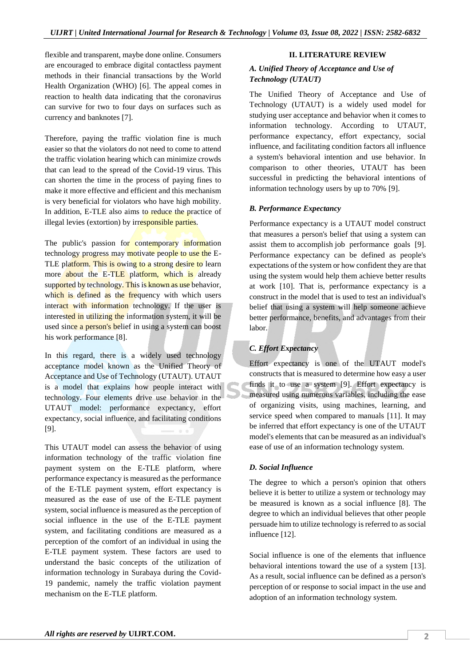flexible and transparent, maybe done online. Consumers are encouraged to embrace digital contactless payment methods in their financial transactions by the World Health Organization (WHO) [6]. The appeal comes in reaction to health data indicating that the coronavirus can survive for two to four days on surfaces such as currency and banknotes [7].

Therefore, paying the traffic violation fine is much easier so that the violators do not need to come to attend the traffic violation hearing which can minimize crowds that can lead to the spread of the Covid-19 virus. This can shorten the time in the process of paying fines to make it more effective and efficient and this mechanism is very beneficial for violators who have high mobility. In addition, E-TLE also aims to reduce the practice of illegal levies (extortion) by irresponsible parties.

The public's passion for contemporary information technology progress may motivate people to use the E-TLE platform. This is owing to a strong desire to learn more about the  $E$ -TLE platform, which is already supported by technology. This is known as use behavior, which is defined as the frequency with which users interact with information technology. If the user is interested in utilizing the information system, it will be used since a person's belief in using a system can boost his work performance [8].

In this regard, there is a widely used technology acceptance model known as the Unified Theory of Acceptance and Use of Technology (UTAUT). UTAUT is a model that explains how people interact with technology. Four elements drive use behavior in the UTAUT model: performance expectancy, effort expectancy, social influence, and facilitating conditions [9].

This UTAUT model can assess the behavior of using information technology of the traffic violation fine payment system on the E-TLE platform, where performance expectancy is measured as the performance of the E-TLE payment system, effort expectancy is measured as the ease of use of the E-TLE payment system, social influence is measured as the perception of social influence in the use of the E-TLE payment system, and facilitating conditions are measured as a perception of the comfort of an individual in using the E-TLE payment system. These factors are used to understand the basic concepts of the utilization of information technology in Surabaya during the Covid-19 pandemic, namely the traffic violation payment mechanism on the E-TLE platform.

#### **II. LITERATURE REVIEW**

### *A. Unified Theory of Acceptance and Use of Technology (UTAUT)*

The Unified Theory of Acceptance and Use of Technology (UTAUT) is a widely used model for studying user acceptance and behavior when it comes to information technology. According to UTAUT, performance expectancy, effort expectancy, social influence, and facilitating condition factors all influence a system's behavioral intention and use behavior. In comparison to other theories, UTAUT has been successful in predicting the behavioral intentions of information technology users by up to 70% [9].

## *B. Performance Expectancy*

Performance expectancy is a UTAUT model construct that measures a person's belief that using a system can assist them to accomplish job performance goals [9]. Performance expectancy can be defined as people's expectations of the system or how confident they are that using the system would help them achieve better results at work [10]. That is, performance expectancy is a construct in the model that is used to test an individual's belief that using a system will help someone achieve better performance, benefits, and advantages from their labor.

# *C. Effort Expectancy*

Effort expectancy is one of the UTAUT model's constructs that is measured to determine how easy a user finds it to use a system [9]. Effort expectancy is measured using numerous variables, including the ease of organizing visits, using machines, learning, and service speed when compared to manuals [11]. It may be inferred that effort expectancy is one of the UTAUT model's elements that can be measured as an individual's ease of use of an information technology system.

## *D. Social Influence*

The degree to which a person's opinion that others believe it is better to utilize a system or technology may be measured is known as a social influence [8]. The degree to which an individual believes that other people persuade him to utilize technology is referred to as social influence [12].

Social influence is one of the elements that influence behavioral intentions toward the use of a system [13]. As a result, social influence can be defined as a person's perception of or response to social impact in the use and adoption of an information technology system.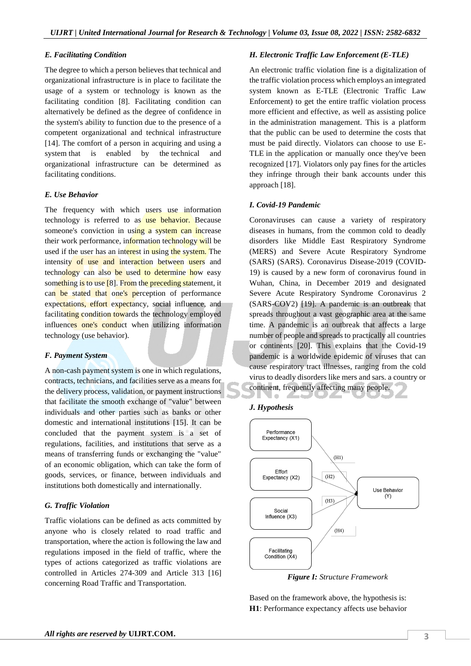#### *E. Facilitating Condition*

The degree to which a person believes that technical and organizational infrastructure is in place to facilitate the usage of a system or technology is known as the facilitating condition [8]. Facilitating condition can alternatively be defined as the degree of confidence in the system's ability to function due to the presence of a competent organizational and technical infrastructure [14]. The comfort of a person in acquiring and using a system that is enabled by the technical and organizational infrastructure can be determined as facilitating conditions.

## *E. Use Behavior*

The frequency with which users use information technology is referred to as use behavior. Because someone's conviction in using a system can increase their work performance, information technology will be used if the user has an interest in using the system. The intensity of use and interaction between users and technology can also be used to determine how easy something is to use [8]. From the preceding statement, it can be stated that one's perception of performance expectations, effort expectancy, social influence, and facilitating condition towards the technology employed influences one's conduct when utilizing information technology (use behavior).

## *F. Payment System*

A non-cash payment system is one in which regulations, contracts, technicians, and facilities serve as a means for the delivery process, validation, or payment instructions that facilitate the smooth exchange of "value" between individuals and other parties such as banks or other domestic and international institutions [15]. It can be concluded that the payment system is a set of regulations, facilities, and institutions that serve as a means of transferring funds or exchanging the "value" of an economic obligation, which can take the form of goods, services, or finance, between individuals and institutions both domestically and internationally.

## *G. Traffic Violation*

Traffic violations can be defined as acts committed by anyone who is closely related to road traffic and transportation, where the action is following the law and regulations imposed in the field of traffic, where the types of actions categorized as traffic violations are controlled in Articles 274-309 and Article 313 [16] concerning Road Traffic and Transportation.

## *H. Electronic Traffic Law Enforcement (E-TLE)*

An electronic traffic violation fine is a digitalization of the traffic violation process which employs an integrated system known as E-TLE (Electronic Traffic Law Enforcement) to get the entire traffic violation process more efficient and effective, as well as assisting police in the administration management. This is a platform that the public can be used to determine the costs that must be paid directly. Violators can choose to use E-TLE in the application or manually once they've been recognized [17]. Violators only pay fines for the articles they infringe through their bank accounts under this approach [18].

## *I. Covid-19 Pandemic*

Coronaviruses can cause a variety of respiratory diseases in humans, from the common cold to deadly disorders like Middle East Respiratory Syndrome (MERS) and Severe Acute Respiratory Syndrome (SARS) (SARS). Coronavirus Disease-2019 (COVID-19) is caused by a new form of coronavirus found in Wuhan, China, in December 2019 and designated Severe Acute Respiratory Syndrome Coronavirus 2 (SARS-COV2) [19]. A pandemic is an outbreak that spreads throughout a vast geographic area at the same time. A pandemic is an outbreak that affects a large number of people and spreads to practically all countries or continents [20]. This explains that the Covid-19 pandemic is a worldwide epidemic of viruses that can cause respiratory tract illnesses, ranging from the cold virus to deadly disorders like mers and sars. a country or continent, frequently affecting many people.





*Figure I: Structure Framework*

Based on the framework above, the hypothesis is: **H1**: Performance expectancy affects use behavior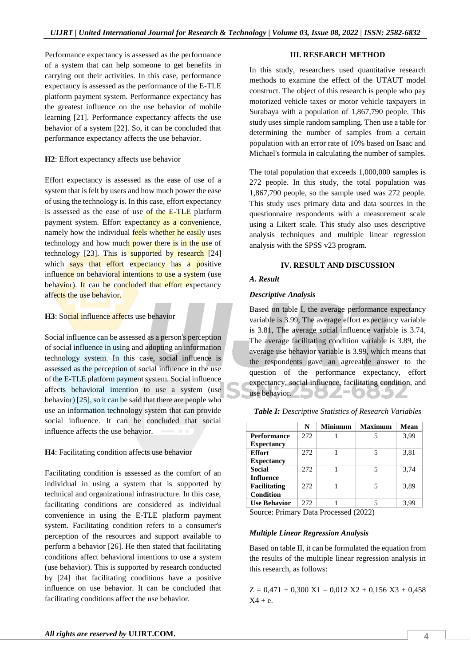Performance expectancy is assessed as the performance of a system that can help someone to get benefits in carrying out their activities. In this case, performance expectancy is assessed as the performance of the E-TLE platform payment system. Performance expectancy has the greatest influence on the use behavior of mobile learning [21]. Performance expectancy affects the use behavior of a system [22]. So, it can be concluded that performance expectancy affects the use behavior.

#### **H2**: Effort expectancy affects use behavior

Effort expectancy is assessed as the ease of use of a system that is felt by users and how much power the ease of using the technology is. In this case, effort expectancy is assessed as the ease of use of the E-TLE platform payment system. Effort expectancy as a convenience, namely how the individual feels whether he easily uses technology and how much power there is in the use of technology  $[23]$ . This is supported by research  $[24]$ which says that effort expectancy has a positive influence on behavioral intentions to use a system (use behavior). It can be concluded that effort expectancy affects the use behavior.

## **H3**: Social influence affects use behavior

Social influence can be assessed as a person's perception of social influence in using and adopting an information technology system. In this case, social influence is assessed as the perception of social influence in the use of the E-TLE platform payment system. Social influence affects behavioral intention to use a system (use behavior) [25], so it can be said that there are people who use an information technology system that can provide social influence. It can be concluded that social influence affects the use behavior.

# **H4**: Facilitating condition affects use behavior

Facilitating condition is assessed as the comfort of an individual in using a system that is supported by technical and organizational infrastructure. In this case, facilitating conditions are considered as individual convenience in using the E-TLE platform payment system. Facilitating condition refers to a consumer's perception of the resources and support available to perform a behavior [26]. He then stated that facilitating conditions affect behavioral intentions to use a system (use behavior). This is supported by research conducted by [24] that facilitating conditions have a positive influence on use behavior. It can be concluded that facilitating conditions affect the use behavior.

#### **III. RESEARCH METHOD**

In this study, researchers used quantitative research methods to examine the effect of the UTAUT model construct. The object of this research is people who pay motorized vehicle taxes or motor vehicle taxpayers in Surabaya with a population of 1,867,790 people. This study uses simple random sampling. Then use a table for determining the number of samples from a certain population with an error rate of 10% based on Isaac and Michael's formula in calculating the number of samples.

The total population that exceeds 1,000,000 samples is 272 people. In this study, the total population was 1,867,790 people, so the sample used was 272 people. This study uses primary data and data sources in the questionnaire respondents with a measurement scale using a Likert scale. This study also uses descriptive analysis techniques and multiple linear regression analysis with the SPSS v23 program.

## **IV. RESULT AND DISCUSSION**

## *A. Result*

#### *Descriptive Analysis*

Based on table I, the average performance expectancy variable is 3.99, The average effort expectancy variable is 3.81, The average social influence variable is 3.74, The average facilitating condition variable is 3.89, the average use behavior variable is 3.99, which means that the respondents gave an agreeable answer to the question of the performance expectancy, effort expectancy, social influence, facilitating condition, and use behavior.  $\bigcirc$   $\bigcirc$   $\bigcirc$   $\bigcirc$   $\bigcirc$   $\bigcirc$   $\bigcirc$ 

| Table I: Descriptive Statistics of Research Variables |  |  |  |
|-------------------------------------------------------|--|--|--|
|-------------------------------------------------------|--|--|--|

|                     | N   | <b>Minimum</b> | <b>Maximum</b> | Mean |
|---------------------|-----|----------------|----------------|------|
| <b>Performance</b>  | 272 |                |                | 3,99 |
| <b>Expectancy</b>   |     |                |                |      |
| <b>Effort</b>       | 272 |                | 5              | 3,81 |
| <b>Expectancy</b>   |     |                |                |      |
| <b>Social</b>       | 272 |                | 5              | 3,74 |
| Influence           |     |                |                |      |
| <b>Facilitating</b> | 272 |                | 5              | 3.89 |
| Condition           |     |                |                |      |
| <b>Use Behavior</b> | 272 |                | 5              | 3.99 |

Source: Primary Data Processed (2022)

## *Multiple Linear Regression Analysis*

Based on table II, it can be formulated the equation from the results of the multiple linear regression analysis in this research, as follows:

 $Z = 0.471 + 0.300 \text{ X}1 - 0.012 \text{ X}2 + 0.156 \text{ X}3 + 0.458$  $X4 + e.$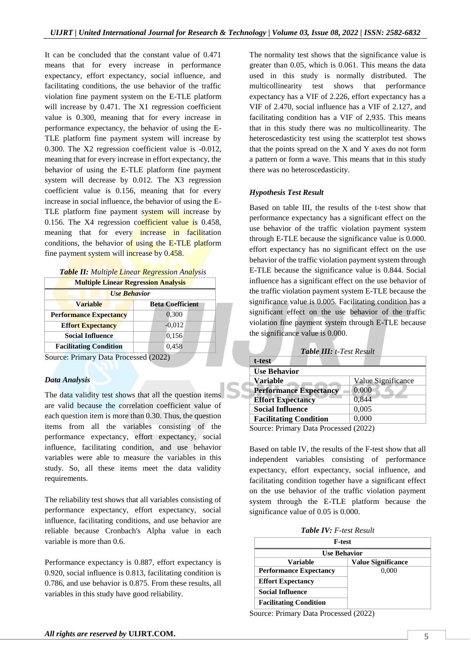It can be concluded that the constant value of 0.471 means that for every increase in performance expectancy, effort expectancy, social influence, and facilitating conditions, the use behavior of the traffic violation fine payment system on the E-TLE platform will increase by 0.471. The X1 regression coefficient value is 0.300, meaning that for every increase in performance expectancy, the behavior of using the E-TLE platform fine payment system will increase by 0.300. The X2 regression coefficient value is -0.012, meaning that for every increase in effort expectancy, the behavior of using the E-TLE platform fine payment system will decrease by 0.012. The X3 regression coefficient value is 0.156, meaning that for every increase in social influence, the behavior of using the E-TLE platform fine payment system will increase by 0.156. The  $X4$  regression coefficient value is 0.458, meaning that for every increase in facilitation conditions, the behavior of using the  $E$ -TLE platform fine payment system will increase by 0.458.

|--|

| <b>Multiple Linear Regression Analysis</b> |                         |  |  |  |
|--------------------------------------------|-------------------------|--|--|--|
| <b>Use Behavior</b>                        |                         |  |  |  |
| <b>Variable</b>                            | <b>Beta Coefficient</b> |  |  |  |
| <b>Performance Expectancy</b>              | 0,300                   |  |  |  |
| <b>Effort Expectancy</b>                   | $-0.012$                |  |  |  |
| <b>Social Influence</b>                    | 0,156                   |  |  |  |
| <b>Facilitating Condition</b>              | 0,458                   |  |  |  |
| $\overline{\phantom{a}}$                   |                         |  |  |  |

Source: Primary Data Processed (2022)

## *Data Analysis*

The data validity test shows that all the question items are valid because the correlation coefficient value of each question item is more than 0.30. Thus, the question items from all the variables consisting of the performance expectancy, effort expectancy, social influence, facilitating condition, and use behavior variables were able to measure the variables in this study. So, all these items meet the data validity requirements.

The reliability test shows that all variables consisting of performance expectancy, effort expectancy, social influence, facilitating conditions, and use behavior are reliable because Cronbach's Alpha value in each variable is more than 0.6.

Performance expectancy is 0.887, effort expectancy is 0.920, social influence is 0.813, facilitating condition is 0.786, and use behavior is 0.875. From these results, all variables in this study have good reliability.

The normality test shows that the significance value is greater than 0.05, which is 0.061. This means the data used in this study is normally distributed. The multicollinearity test shows that performance expectancy has a VIF of 2.226, effort expectancy has a VIF of 2.470, social influence has a VIF of 2.127, and facilitating condition has a VIF of 2,935. This means that in this study there was no multicollinearity. The heteroscedasticity test using the scatterplot test shows that the points spread on the X and Y axes do not form a pattern or form a wave. This means that in this study there was no heteroscedasticity.

## *Hypothesis Test Result*

Based on table III, the results of the t-test show that performance expectancy has a significant effect on the use behavior of the traffic violation payment system through E-TLE because the significance value is 0.000. effort expectancy has no significant effect on the use behavior of the traffic violation payment system through E-TLE because the significance value is 0.844. Social influence has a significant effect on the use behavior of the traffic violation payment system E-TLE because the significance value is 0.005. Facilitating condition has a significant effect on the use behavior of the traffic violation fine payment system through E-TLE because the significance value is 0.000.

| Table III: t-Test Result              |                    |
|---------------------------------------|--------------------|
| t-test                                |                    |
| <b>Use Behavior</b>                   |                    |
| Variable                              | Value Significance |
| <b>Performance Expectancy</b>         | 0,000              |
| <b>Effort Expectancy</b>              | 0,844              |
| <b>Social Influence</b>               | 0,005              |
| <b>Facilitating Condition</b>         | 0,000              |
| Source: Primary Data Processed (2022) |                    |

Source: Primary Data Processed (2022)

Based on table IV, the results of the F-test show that all independent variables consisting of performance expectancy, effort expectancy, social influence, and facilitating condition together have a significant effect on the use behavior of the traffic violation payment system through the E-TLE platform because the significance value of 0.05 is 0.000.

*Table IV: F-test Result*

| <b>F-test</b><br><b>Use Behavior</b> |       |  |
|--------------------------------------|-------|--|
|                                      |       |  |
| <b>Performance Expectancy</b>        | 0.000 |  |
| <b>Effort Expectancy</b>             |       |  |
| <b>Social Influence</b>              |       |  |
| <b>Facilitating Condition</b>        |       |  |

Source: Primary Data Processed (2022)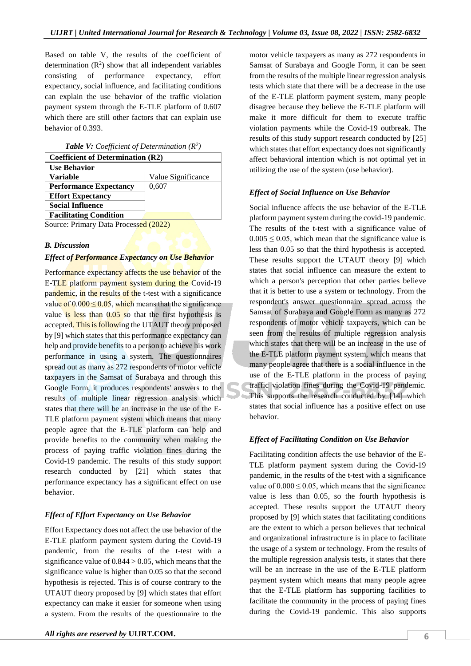Based on table V, the results of the coefficient of determination  $(R^2)$  show that all independent variables consisting of performance expectancy, effort expectancy, social influence, and facilitating conditions can explain the use behavior of the traffic violation payment system through the E-TLE platform of 0.607 which there are still other factors that can explain use behavior of 0.393.

*Table V: Coefficient of Determination (R<sup>2</sup> )*

| <b>Coefficient of Determination (R2)</b> |                    |
|------------------------------------------|--------------------|
| <b>Use Behavior</b>                      |                    |
| <b>Variable</b>                          | Value Significance |
| <b>Performance Expectancy</b>            | 0,607              |
| <b>Effort Expectancy</b>                 |                    |
| <b>Social Influence</b>                  |                    |
| <b>Facilitating Condition</b>            |                    |
| Course Drimary Data Drossoood (2022)     |                    |

Source: Primary Data Processed (2022)

#### *B. Discussion*

#### *Effect of Performance Expectancy on Use Behavior*

Performance expectancy affects the use behavior of the E-TLE platform payment system during the Covid-19 pandemic, in the results of the t-test with a significance value of  $0.000 \le 0.05$ , which means that the significance value is less than  $0.05$  so that the first hypothesis is accepted. This is following the UTAUT theory proposed by [9] which states that this performance expectancy can help and provide benefits to a person to achieve his work performance in using a system. The questionnaires spread out as many as 272 respondents of motor vehicle taxpayers in the Samsat of Surabaya and through this Google Form, it produces respondents' answers to the results of multiple linear regression analysis which states that there will be an increase in the use of the E-TLE platform payment system which means that many people agree that the E-TLE platform can help and provide benefits to the community when making the process of paying traffic violation fines during the Covid-19 pandemic. The results of this study support research conducted by [21] which states that performance expectancy has a significant effect on use behavior.

## *Effect of Effort Expectancy on Use Behavior*

Effort Expectancy does not affect the use behavior of the E-TLE platform payment system during the Covid-19 pandemic, from the results of the t-test with a significance value of  $0.844 > 0.05$ , which means that the significance value is higher than 0.05 so that the second hypothesis is rejected. This is of course contrary to the UTAUT theory proposed by [9] which states that effort expectancy can make it easier for someone when using a system. From the results of the questionnaire to the motor vehicle taxpayers as many as 272 respondents in Samsat of Surabaya and Google Form, it can be seen from the results of the multiple linear regression analysis tests which state that there will be a decrease in the use of the E-TLE platform payment system, many people disagree because they believe the E-TLE platform will make it more difficult for them to execute traffic violation payments while the Covid-19 outbreak. The results of this study support research conducted by [25] which states that effort expectancy does not significantly affect behavioral intention which is not optimal yet in utilizing the use of the system (use behavior).

#### *Effect of Social Influence on Use Behavior*

Social influence affects the use behavior of the E-TLE platform payment system during the covid-19 pandemic. The results of the t-test with a significance value of  $0.005 \leq 0.05$ , which mean that the significance value is less than 0.05 so that the third hypothesis is accepted. These results support the UTAUT theory [9] which states that social influence can measure the extent to which a person's perception that other parties believe that it is better to use a system or technology. From the respondent's answer questionnaire spread across the Samsat of Surabaya and Google Form as many as 272 respondents of motor vehicle taxpayers, which can be seen from the results of multiple regression analysis which states that there will be an increase in the use of the E-TLE platform payment system, which means that many people agree that there is a social influence in the use of the E-TLE platform in the process of paying traffic violation fines during the Covid-19 pandemic. This supports the research conducted by [14] which states that social influence has a positive effect on use behavior.

## *Effect of Facilitating Condition on Use Behavior*

Facilitating condition affects the use behavior of the E-TLE platform payment system during the Covid-19 pandemic, in the results of the t-test with a significance value of  $0.000 \le 0.05$ , which means that the significance value is less than 0.05, so the fourth hypothesis is accepted. These results support the UTAUT theory proposed by [9] which states that facilitating conditions are the extent to which a person believes that technical and organizational infrastructure is in place to facilitate the usage of a system or technology. From the results of the multiple regression analysis tests, it states that there will be an increase in the use of the E-TLE platform payment system which means that many people agree that the E-TLE platform has supporting facilities to facilitate the community in the process of paying fines during the Covid-19 pandemic. This also supports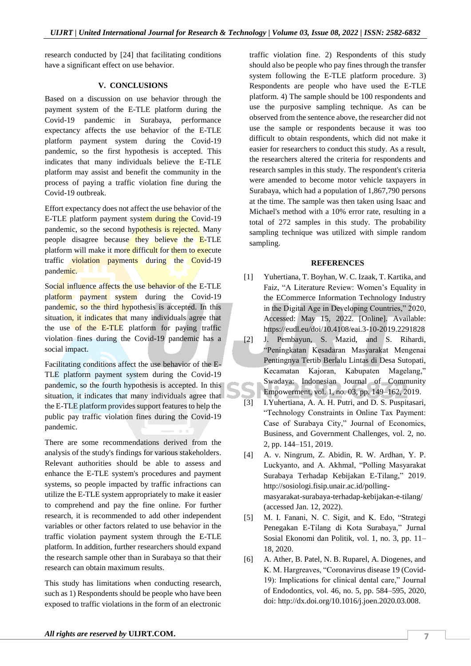research conducted by [24] that facilitating conditions have a significant effect on use behavior.

### **V. CONCLUSIONS**

Based on a discussion on use behavior through the payment system of the E-TLE platform during the Covid-19 pandemic in Surabaya, performance expectancy affects the use behavior of the E-TLE platform payment system during the Covid-19 pandemic, so the first hypothesis is accepted. This indicates that many individuals believe the E-TLE platform may assist and benefit the community in the process of paying a traffic violation fine during the Covid-19 outbreak.

Effort expectancy does not affect the use behavior of the E-TLE platform payment system during the Covid-19 pandemic, so the second hypothesis is rejected. Many people disagree because they believe the  $E$ -TLE platform will make it more difficult for them to execute traffic  $\sqrt{\text{violation}}$  payments during the Covid-19 pandemic.

Social influence affects the use behavior of the E-TLE platform payment system during the Covid-19 pandemic, so the third hypothesis is accepted. In this situation, it indicates that many individuals agree that the use of the  $E-TLE$  platform for paying traffic violation fines during the Covid-19 pandemic has a social impact.

Facilitating conditions affect the use behavior of the E-TLE platform payment system during the Covid-19 pandemic, so the fourth hypothesis is accepted. In this situation, it indicates that many individuals agree that the E-TLE platform provides support features to help the public pay traffic violation fines during the Covid-19 pandemic.

There are some recommendations derived from the analysis of the study's findings for various stakeholders. Relevant authorities should be able to assess and enhance the E-TLE system's procedures and payment systems, so people impacted by traffic infractions can utilize the E-TLE system appropriately to make it easier to comprehend and pay the fine online. For further research, it is recommended to add other independent variables or other factors related to use behavior in the traffic violation payment system through the E-TLE platform. In addition, further researchers should expand the research sample other than in Surabaya so that their research can obtain maximum results.

This study has limitations when conducting research, such as 1) Respondents should be people who have been exposed to traffic violations in the form of an electronic

traffic violation fine. 2) Respondents of this study should also be people who pay fines through the transfer system following the E-TLE platform procedure. 3) Respondents are people who have used the E-TLE platform. 4) The sample should be 100 respondents and use the purposive sampling technique. As can be observed from the sentence above, the researcher did not use the sample or respondents because it was too difficult to obtain respondents, which did not make it easier for researchers to conduct this study. As a result, the researchers altered the criteria for respondents and research samples in this study. The respondent's criteria were amended to become motor vehicle taxpayers in Surabaya, which had a population of 1,867,790 persons at the time. The sample was then taken using Isaac and Michael's method with a 10% error rate, resulting in a total of 272 samples in this study. The probability sampling technique was utilized with simple random sampling.

#### **REFERENCES**

- [1] Yuhertiana, T. Boyhan, W. C. Izaak, T. Kartika, and Faiz, "A Literature Review: Women's Equality in the ECommerce Information Technology Industry in the Digital Age in Developing Countries," 2020, Accessed: May 15, 2022. [Online]. Available: https://eudl.eu/doi/10.4108/eai.3-10-2019.2291828
- [2] J. Pembayun, S. Mazid, and S. Rihardi, "Peningkatan Kesadaran Masyarakat Mengenai Pentingnya Tertib Berlalu Lintas di Desa Sutopati, Kecamatan Kajoran, Kabupaten Magelang," Swadaya: Indonesian Journal of Community Empowerment, vol. 1, no. 03, pp. 149–162, 2019.
- [3] I.Yuhertiana, A. A. H. Putri, and D. S. Puspitasari, "Technology Constraints in Online Tax Payment: Case of Surabaya City," Journal of Economics, Business, and Government Challenges, vol. 2, no. 2, pp. 144–151, 2019.
- [4] A. v. Ningrum, Z. Abidin, R. W. Ardhan, Y. P. Luckyanto, and A. Akhmal, "Polling Masyarakat Surabaya Terhadap Kebijakan E-Tilang," 2019. http://sosiologi.fisip.unair.ac.id/pollingmasyarakat-surabaya-terhadap-kebijakan-e-tilang/ (accessed Jan. 12, 2022).
- [5] M. I. Fanani, N. C. Sigit, and K. Edo, "Strategi Penegakan E-Tilang di Kota Surabaya," Jurnal Sosial Ekonomi dan Politik, vol. 1, no. 3, pp. 11– 18, 2020.
- [6] A. Ather, B. Patel, N. B. Ruparel, A. Diogenes, and K. M. Hargreaves, "Coronavirus disease 19 (Covid-19): Implications for clinical dental care," Journal of Endodontics, vol. 46, no. 5, pp. 584–595, 2020, doi: http://dx.doi.org/10.1016/j.joen.2020.03.008.